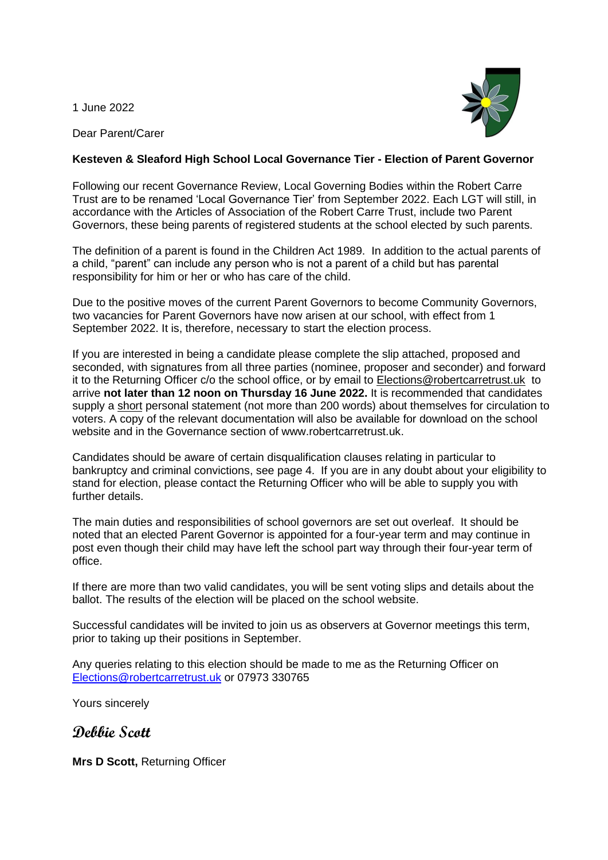1 June 2022

Dear Parent/Carer



## **Kesteven & Sleaford High School Local Governance Tier - Election of Parent Governor**

Following our recent Governance Review, Local Governing Bodies within the Robert Carre Trust are to be renamed 'Local Governance Tier' from September 2022. Each LGT will still, in accordance with the Articles of Association of the Robert Carre Trust, include two Parent Governors, these being parents of registered students at the school elected by such parents.

The definition of a parent is found in the Children Act 1989. In addition to the actual parents of a child, "parent" can include any person who is not a parent of a child but has parental responsibility for him or her or who has care of the child.

Due to the positive moves of the current Parent Governors to become Community Governors, two vacancies for Parent Governors have now arisen at our school, with effect from 1 September 2022. It is, therefore, necessary to start the election process.

If you are interested in being a candidate please complete the slip attached, proposed and seconded, with signatures from all three parties (nominee, proposer and seconder) and forward it to the Returning Officer c/o the school office, or by email to [Elections@robertcarretrust.uk](mailto:Elections@robertcarretrust.uk) to arrive **not later than 12 noon on Thursday 16 June 2022.** It is recommended that candidates supply a short personal statement (not more than 200 words) about themselves for circulation to voters. A copy of the relevant documentation will also be available for download on the school website and in the Governance section of www.robertcarretrust.uk.

Candidates should be aware of certain disqualification clauses relating in particular to bankruptcy and criminal convictions, see page 4. If you are in any doubt about your eligibility to stand for election, please contact the Returning Officer who will be able to supply you with further details.

The main duties and responsibilities of school governors are set out overleaf. It should be noted that an elected Parent Governor is appointed for a four-year term and may continue in post even though their child may have left the school part way through their four-year term of office.

If there are more than two valid candidates, you will be sent voting slips and details about the ballot. The results of the election will be placed on the school website.

Successful candidates will be invited to join us as observers at Governor meetings this term, prior to taking up their positions in September.

Any queries relating to this election should be made to me as the Returning Officer on [Elections@](mailto:Elections)robertcarretrust.uk or 07973 330765

Yours sincerely

**Debbie Scott**

**Mrs D Scott,** Returning Officer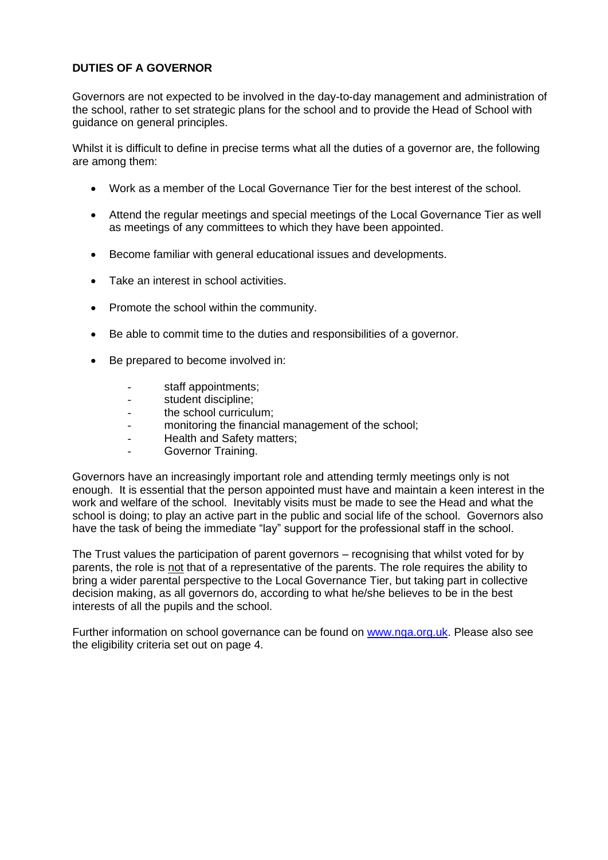## **DUTIES OF A GOVERNOR**

Governors are not expected to be involved in the day-to-day management and administration of the school, rather to set strategic plans for the school and to provide the Head of School with guidance on general principles.

Whilst it is difficult to define in precise terms what all the duties of a governor are, the following are among them:

- Work as a member of the Local Governance Tier for the best interest of the school.
- Attend the regular meetings and special meetings of the Local Governance Tier as well as meetings of any committees to which they have been appointed.
- Become familiar with general educational issues and developments.
- Take an interest in school activities.
- Promote the school within the community.
- Be able to commit time to the duties and responsibilities of a governor.
- Be prepared to become involved in:
	- staff appointments:
	- student discipline;
	- the school curriculum:
	- monitoring the financial management of the school:
	- Health and Safety matters;
	- Governor Training.

Governors have an increasingly important role and attending termly meetings only is not enough. It is essential that the person appointed must have and maintain a keen interest in the work and welfare of the school. Inevitably visits must be made to see the Head and what the school is doing; to play an active part in the public and social life of the school. Governors also have the task of being the immediate "lay" support for the professional staff in the school.

The Trust values the participation of parent governors – recognising that whilst voted for by parents, the role is not that of a representative of the parents. The role requires the ability to bring a wider parental perspective to the Local Governance Tier, but taking part in collective decision making, as all governors do, according to what he/she believes to be in the best interests of all the pupils and the school.

Further information on school governance can be found on [www.nga.org.uk.](http://www.nga.org.uk/) Please also see the eligibility criteria set out on page 4.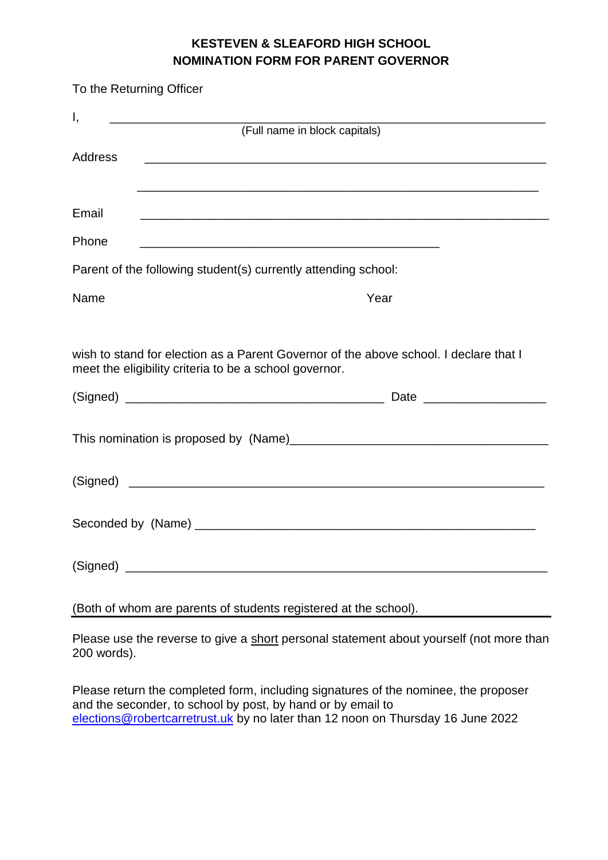## **KESTEVEN & SLEAFORD HIGH SCHOOL NOMINATION FORM FOR PARENT GOVERNOR**

| To the Returning Officer |                                                                                                                                                 |
|--------------------------|-------------------------------------------------------------------------------------------------------------------------------------------------|
| Ι,                       |                                                                                                                                                 |
|                          | (Full name in block capitals)                                                                                                                   |
| Address                  | <u> 1989 - Johann Stoff, amerikansk politiker (d. 1989)</u>                                                                                     |
|                          |                                                                                                                                                 |
| Email                    |                                                                                                                                                 |
| Phone                    |                                                                                                                                                 |
|                          | Parent of the following student(s) currently attending school:                                                                                  |
| Name                     | Year                                                                                                                                            |
|                          |                                                                                                                                                 |
|                          | wish to stand for election as a Parent Governor of the above school. I declare that I<br>meet the eligibility criteria to be a school governor. |
|                          |                                                                                                                                                 |
|                          |                                                                                                                                                 |
|                          |                                                                                                                                                 |
|                          |                                                                                                                                                 |
|                          |                                                                                                                                                 |
|                          |                                                                                                                                                 |

(Both of whom are parents of students registered at the school).

Please use the reverse to give a short personal statement about yourself (not more than 200 words).

Please return the completed form, including signatures of the nominee, the proposer and the seconder, to school by post, by hand or by email to [elections@robertcarretrust.uk](mailto:elections@robertcarretrust.uk) by no later than 12 noon on Thursday 16 June 2022